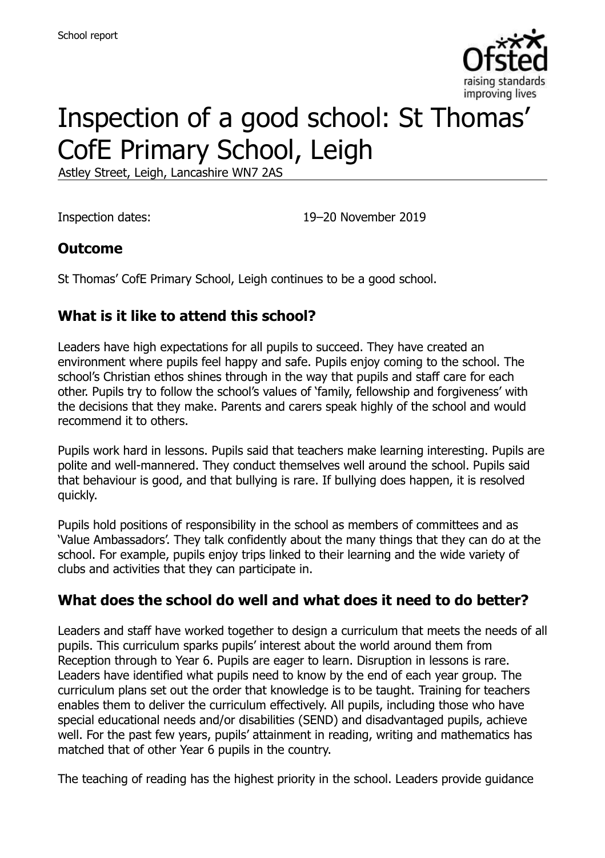

# Inspection of a good school: St Thomas' CofE Primary School, Leigh

Astley Street, Leigh, Lancashire WN7 2AS

Inspection dates: 19–20 November 2019

### **Outcome**

St Thomas' CofE Primary School, Leigh continues to be a good school.

### **What is it like to attend this school?**

Leaders have high expectations for all pupils to succeed. They have created an environment where pupils feel happy and safe. Pupils enjoy coming to the school. The school's Christian ethos shines through in the way that pupils and staff care for each other. Pupils try to follow the school's values of 'family, fellowship and forgiveness' with the decisions that they make. Parents and carers speak highly of the school and would recommend it to others.

Pupils work hard in lessons. Pupils said that teachers make learning interesting. Pupils are polite and well-mannered. They conduct themselves well around the school. Pupils said that behaviour is good, and that bullying is rare. If bullying does happen, it is resolved quickly.

Pupils hold positions of responsibility in the school as members of committees and as 'Value Ambassadors'. They talk confidently about the many things that they can do at the school. For example, pupils enjoy trips linked to their learning and the wide variety of clubs and activities that they can participate in.

#### **What does the school do well and what does it need to do better?**

Leaders and staff have worked together to design a curriculum that meets the needs of all pupils. This curriculum sparks pupils' interest about the world around them from Reception through to Year 6. Pupils are eager to learn. Disruption in lessons is rare. Leaders have identified what pupils need to know by the end of each year group. The curriculum plans set out the order that knowledge is to be taught. Training for teachers enables them to deliver the curriculum effectively. All pupils, including those who have special educational needs and/or disabilities (SEND) and disadvantaged pupils, achieve well. For the past few years, pupils' attainment in reading, writing and mathematics has matched that of other Year 6 pupils in the country.

The teaching of reading has the highest priority in the school. Leaders provide guidance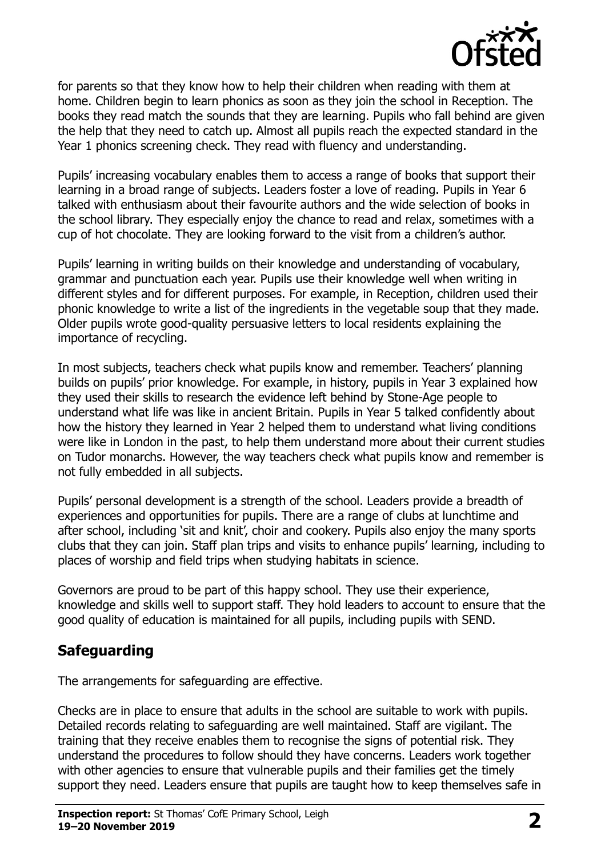

for parents so that they know how to help their children when reading with them at home. Children begin to learn phonics as soon as they join the school in Reception. The books they read match the sounds that they are learning. Pupils who fall behind are given the help that they need to catch up. Almost all pupils reach the expected standard in the Year 1 phonics screening check. They read with fluency and understanding.

Pupils' increasing vocabulary enables them to access a range of books that support their learning in a broad range of subjects. Leaders foster a love of reading. Pupils in Year 6 talked with enthusiasm about their favourite authors and the wide selection of books in the school library. They especially enjoy the chance to read and relax, sometimes with a cup of hot chocolate. They are looking forward to the visit from a children's author.

Pupils' learning in writing builds on their knowledge and understanding of vocabulary, grammar and punctuation each year. Pupils use their knowledge well when writing in different styles and for different purposes. For example, in Reception, children used their phonic knowledge to write a list of the ingredients in the vegetable soup that they made. Older pupils wrote good-quality persuasive letters to local residents explaining the importance of recycling.

In most subjects, teachers check what pupils know and remember. Teachers' planning builds on pupils' prior knowledge. For example, in history, pupils in Year 3 explained how they used their skills to research the evidence left behind by Stone-Age people to understand what life was like in ancient Britain. Pupils in Year 5 talked confidently about how the history they learned in Year 2 helped them to understand what living conditions were like in London in the past, to help them understand more about their current studies on Tudor monarchs. However, the way teachers check what pupils know and remember is not fully embedded in all subjects.

Pupils' personal development is a strength of the school. Leaders provide a breadth of experiences and opportunities for pupils. There are a range of clubs at lunchtime and after school, including 'sit and knit', choir and cookery. Pupils also enjoy the many sports clubs that they can join. Staff plan trips and visits to enhance pupils' learning, including to places of worship and field trips when studying habitats in science.

Governors are proud to be part of this happy school. They use their experience, knowledge and skills well to support staff. They hold leaders to account to ensure that the good quality of education is maintained for all pupils, including pupils with SEND.

#### **Safeguarding**

The arrangements for safeguarding are effective.

Checks are in place to ensure that adults in the school are suitable to work with pupils. Detailed records relating to safeguarding are well maintained. Staff are vigilant. The training that they receive enables them to recognise the signs of potential risk. They understand the procedures to follow should they have concerns. Leaders work together with other agencies to ensure that vulnerable pupils and their families get the timely support they need. Leaders ensure that pupils are taught how to keep themselves safe in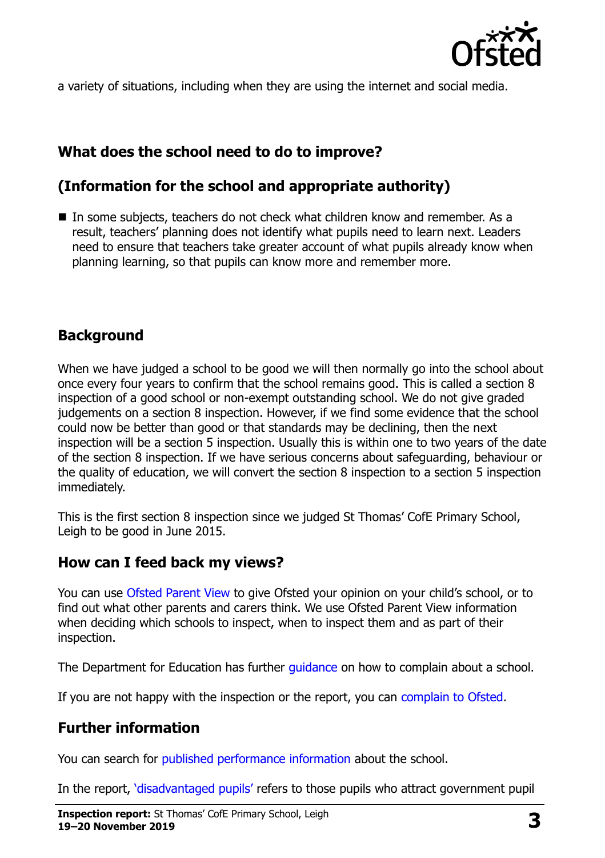

a variety of situations, including when they are using the internet and social media.

# **What does the school need to do to improve?**

# **(Information for the school and appropriate authority)**

■ In some subjects, teachers do not check what children know and remember. As a result, teachers' planning does not identify what pupils need to learn next. Leaders need to ensure that teachers take greater account of what pupils already know when planning learning, so that pupils can know more and remember more.

# **Background**

When we have judged a school to be good we will then normally go into the school about once every four years to confirm that the school remains good. This is called a section 8 inspection of a good school or non-exempt outstanding school. We do not give graded judgements on a section 8 inspection. However, if we find some evidence that the school could now be better than good or that standards may be declining, then the next inspection will be a section 5 inspection. Usually this is within one to two years of the date of the section 8 inspection. If we have serious concerns about safeguarding, behaviour or the quality of education, we will convert the section 8 inspection to a section 5 inspection immediately.

This is the first section 8 inspection since we judged St Thomas' CofE Primary School, Leigh to be good in June 2015.

#### **How can I feed back my views?**

You can use [Ofsted Parent View](https://parentview.ofsted.gov.uk/) to give Ofsted your opinion on your child's school, or to find out what other parents and carers think. We use Ofsted Parent View information when deciding which schools to inspect, when to inspect them and as part of their inspection.

The Department for Education has further quidance on how to complain about a school.

If you are not happy with the inspection or the report, you can [complain to Ofsted.](https://www.gov.uk/complain-ofsted-report)

# **Further information**

You can search for [published performance information](http://www.compare-school-performance.service.gov.uk/) about the school.

In the report, '[disadvantaged pupils](http://www.gov.uk/guidance/pupil-premium-information-for-schools-and-alternative-provision-settings)' refers to those pupils who attract government pupil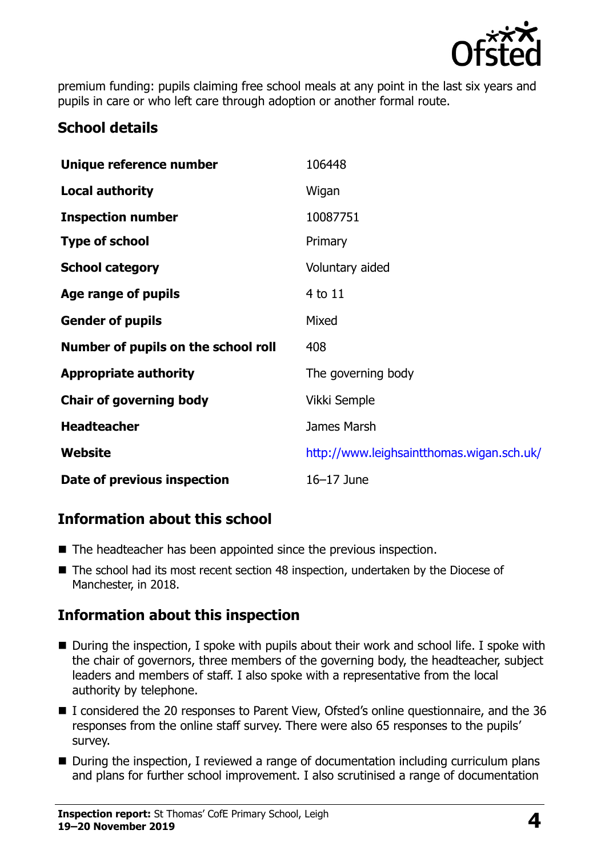

premium funding: pupils claiming free school meals at any point in the last six years and pupils in care or who left care through adoption or another formal route.

#### **School details**

| Unique reference number             | 106448                                    |
|-------------------------------------|-------------------------------------------|
| <b>Local authority</b>              | Wigan                                     |
| <b>Inspection number</b>            | 10087751                                  |
| <b>Type of school</b>               | Primary                                   |
| <b>School category</b>              | Voluntary aided                           |
| Age range of pupils                 | 4 to 11                                   |
| <b>Gender of pupils</b>             | Mixed                                     |
| Number of pupils on the school roll | 408                                       |
| <b>Appropriate authority</b>        | The governing body                        |
| <b>Chair of governing body</b>      | Vikki Semple                              |
| <b>Headteacher</b>                  | James Marsh                               |
| Website                             | http://www.leighsaintthomas.wigan.sch.uk/ |
| Date of previous inspection         | $16-17$ June                              |

# **Information about this school**

- The headteacher has been appointed since the previous inspection.
- The school had its most recent section 48 inspection, undertaken by the Diocese of Manchester, in 2018.

# **Information about this inspection**

- During the inspection, I spoke with pupils about their work and school life. I spoke with the chair of governors, three members of the governing body, the headteacher, subject leaders and members of staff. I also spoke with a representative from the local authority by telephone.
- I considered the 20 responses to Parent View, Ofsted's online questionnaire, and the 36 responses from the online staff survey. There were also 65 responses to the pupils' survey.
- During the inspection, I reviewed a range of documentation including curriculum plans and plans for further school improvement. I also scrutinised a range of documentation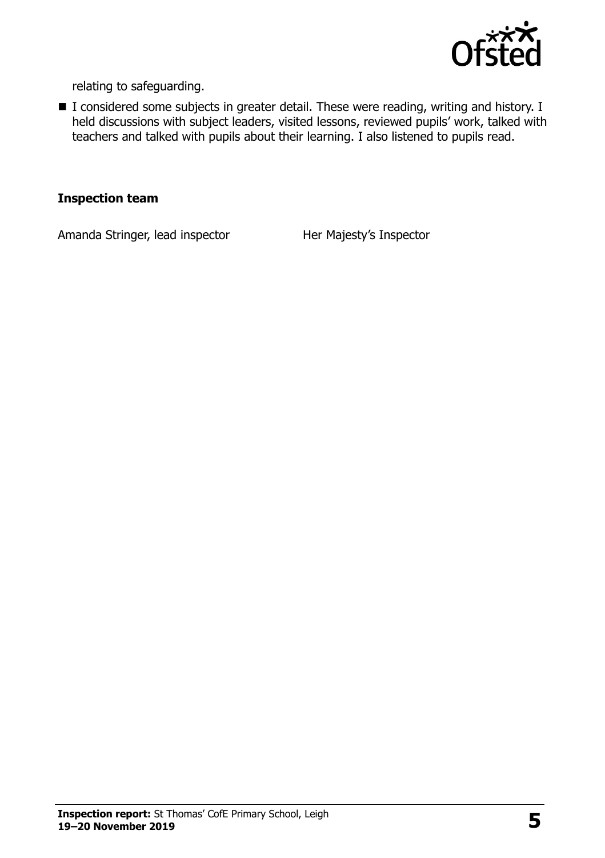

relating to safeguarding.

■ I considered some subjects in greater detail. These were reading, writing and history. I held discussions with subject leaders, visited lessons, reviewed pupils' work, talked with teachers and talked with pupils about their learning. I also listened to pupils read.

#### **Inspection team**

Amanda Stringer, lead inspector Her Majesty's Inspector